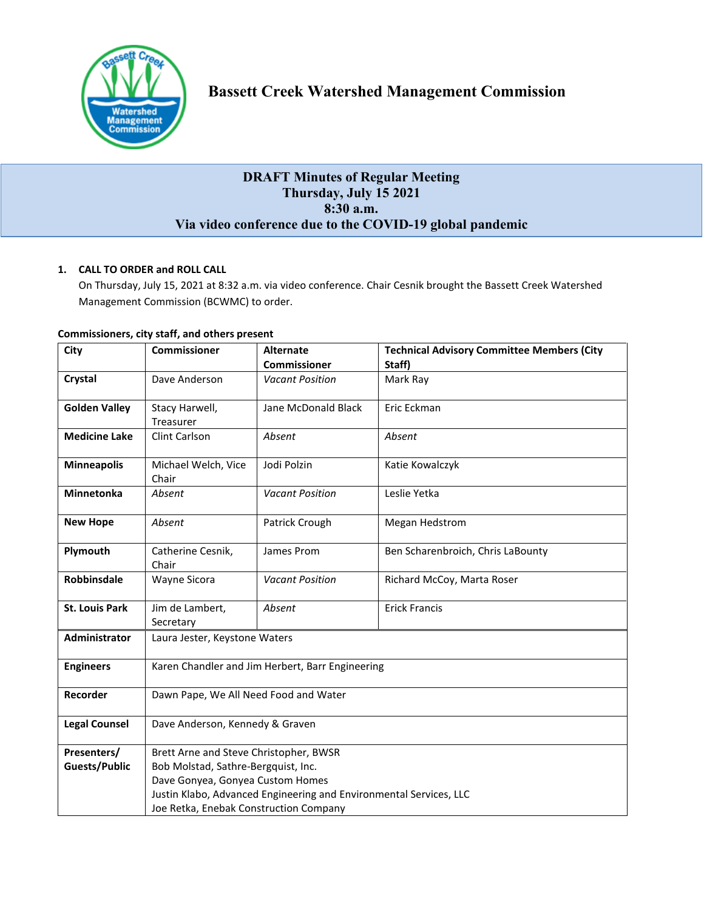

# **DRAFT Minutes of Regular Meeting Thursday, July 15 2021 8:30 a.m. Via video conference due to the COVID-19 global pandemic**

# **1. CALL TO ORDER and ROLL CALL**

On Thursday, July 15, 2021 at 8:32 a.m. via video conference. Chair Cesnik brought the Bassett Creek Watershed Management Commission (BCWMC) to order.

| City                  | <b>Commissioner</b>                                                | <b>Alternate</b>       | <b>Technical Advisory Committee Members (City</b> |  |
|-----------------------|--------------------------------------------------------------------|------------------------|---------------------------------------------------|--|
|                       |                                                                    | <b>Commissioner</b>    | Staff)                                            |  |
| Crystal               | Dave Anderson                                                      | <b>Vacant Position</b> | Mark Ray                                          |  |
| <b>Golden Valley</b>  | Stacy Harwell,                                                     | Jane McDonald Black    | Eric Eckman                                       |  |
|                       | Treasurer                                                          |                        |                                                   |  |
| <b>Medicine Lake</b>  | <b>Clint Carlson</b>                                               | Absent                 | Absent                                            |  |
| <b>Minneapolis</b>    | Michael Welch, Vice<br>Chair                                       | Jodi Polzin            | Katie Kowalczyk                                   |  |
| <b>Minnetonka</b>     | Absent                                                             | <b>Vacant Position</b> | Leslie Yetka                                      |  |
| <b>New Hope</b>       | Absent                                                             | Patrick Crough         | Megan Hedstrom                                    |  |
| Plymouth              | Catherine Cesnik,<br>Chair                                         | James Prom             | Ben Scharenbroich, Chris LaBounty                 |  |
| Robbinsdale           | Wayne Sicora                                                       | <b>Vacant Position</b> | Richard McCoy, Marta Roser                        |  |
| <b>St. Louis Park</b> | Jim de Lambert,                                                    | Absent                 | <b>Erick Francis</b>                              |  |
|                       | Secretary                                                          |                        |                                                   |  |
| <b>Administrator</b>  | Laura Jester, Keystone Waters                                      |                        |                                                   |  |
| <b>Engineers</b>      | Karen Chandler and Jim Herbert, Barr Engineering                   |                        |                                                   |  |
| Recorder              | Dawn Pape, We All Need Food and Water                              |                        |                                                   |  |
| <b>Legal Counsel</b>  | Dave Anderson, Kennedy & Graven                                    |                        |                                                   |  |
| Presenters/           | Brett Arne and Steve Christopher, BWSR                             |                        |                                                   |  |
| <b>Guests/Public</b>  | Bob Molstad, Sathre-Bergquist, Inc.                                |                        |                                                   |  |
|                       | Dave Gonyea, Gonyea Custom Homes                                   |                        |                                                   |  |
|                       | Justin Klabo, Advanced Engineering and Environmental Services, LLC |                        |                                                   |  |
|                       | Joe Retka, Enebak Construction Company                             |                        |                                                   |  |

## **Commissioners, city staff, and others present**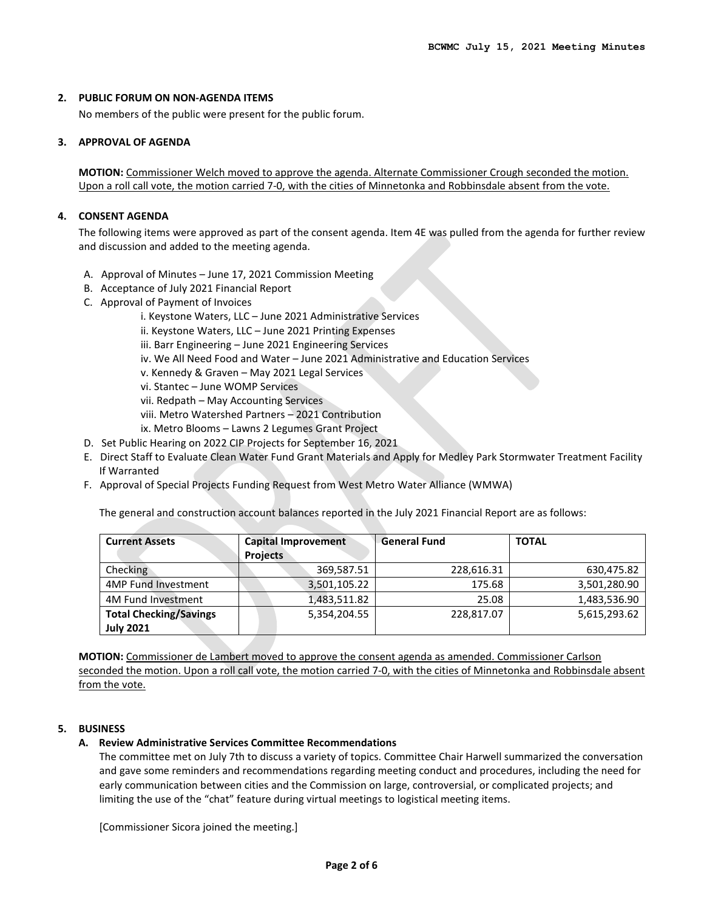#### **2. PUBLIC FORUM ON NON-AGENDA ITEMS**

No members of the public were present for the public forum.

#### **3. APPROVAL OF AGENDA**

**MOTION:** Commissioner Welch moved to approve the agenda. Alternate Commissioner Crough seconded the motion. Upon a roll call vote, the motion carried 7-0, with the cities of Minnetonka and Robbinsdale absent from the vote.

#### **4. CONSENT AGENDA**

The following items were approved as part of the consent agenda. Item 4E was pulled from the agenda for further review and discussion and added to the meeting agenda.

- A. Approval of Minutes June 17, 2021 Commission Meeting
- B. Acceptance of July 2021 Financial Report
- C. Approval of Payment of Invoices
	- i. Keystone Waters, LLC June 2021 Administrative Services
	- ii. Keystone Waters, LLC June 2021 Printing Expenses
	- iii. Barr Engineering June 2021 Engineering Services
	- iv. We All Need Food and Water June 2021 Administrative and Education Services
	- v. Kennedy & Graven May 2021 Legal Services
	- vi. Stantec June WOMP Services
	- vii. Redpath May Accounting Services
	- viii. Metro Watershed Partners 2021 Contribution
	- ix. Metro Blooms Lawns 2 Legumes Grant Project
- D. Set Public Hearing on 2022 CIP Projects for September 16, 2021
- E. Direct Staff to Evaluate Clean Water Fund Grant Materials and Apply for Medley Park Stormwater Treatment Facility If Warranted
- F. Approval of Special Projects Funding Request from West Metro Water Alliance (WMWA)

The general and construction account balances reported in the July 2021 Financial Report are as follows:

| <b>Current Assets</b>         | <b>Capital Improvement</b><br><b>Projects</b> | <b>General Fund</b> | <b>TOTAL</b> |
|-------------------------------|-----------------------------------------------|---------------------|--------------|
| <b>Checking</b>               | 369,587.51                                    | 228,616.31          | 630,475.82   |
| <b>4MP Fund Investment</b>    | 3,501,105.22                                  | 175.68              | 3,501,280.90 |
| 4M Fund Investment            | 1,483,511.82                                  | 25.08               | 1,483,536.90 |
| <b>Total Checking/Savings</b> | 5,354,204.55                                  | 228,817.07          | 5,615,293.62 |
| <b>July 2021</b>              |                                               |                     |              |

**MOTION:** Commissioner de Lambert moved to approve the consent agenda as amended. Commissioner Carlson seconded the motion. Upon a roll call vote, the motion carried 7-0, with the cities of Minnetonka and Robbinsdale absent from the vote.

#### **5. BUSINESS**

#### **A. Review Administrative Services Committee Recommendations**

The committee met on July 7th to discuss a variety of topics. Committee Chair Harwell summarized the conversation and gave some reminders and recommendations regarding meeting conduct and procedures, including the need for early communication between cities and the Commission on large, controversial, or complicated projects; and limiting the use of the "chat" feature during virtual meetings to logistical meeting items.

[Commissioner Sicora joined the meeting.]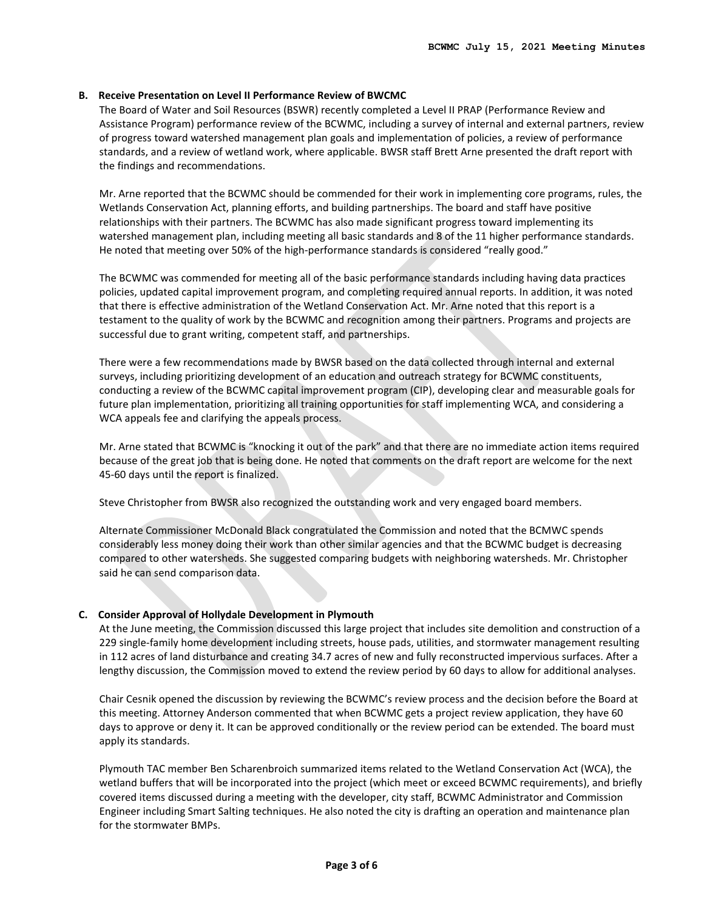#### **B. Receive Presentation on Level II Performance Review of BWCMC**

The Board of Water and Soil Resources (BSWR) recently completed a Level II PRAP (Performance Review and Assistance Program) performance review of the BCWMC, including a survey of internal and external partners, review of progress toward watershed management plan goals and implementation of policies, a review of performance standards, and a review of wetland work, where applicable. BWSR staff Brett Arne presented the draft report with the findings and recommendations.

Mr. Arne reported that the BCWMC should be commended for their work in implementing core programs, rules, the Wetlands Conservation Act, planning efforts, and building partnerships. The board and staff have positive relationships with their partners. The BCWMC has also made significant progress toward implementing its watershed management plan, including meeting all basic standards and 8 of the 11 higher performance standards. He noted that meeting over 50% of the high-performance standards is considered "really good."

The BCWMC was commended for meeting all of the basic performance standards including having data practices policies, updated capital improvement program, and completing required annual reports. In addition, it was noted that there is effective administration of the Wetland Conservation Act. Mr. Arne noted that this report is a testament to the quality of work by the BCWMC and recognition among their partners. Programs and projects are successful due to grant writing, competent staff, and partnerships.

There were a few recommendations made by BWSR based on the data collected through internal and external surveys, including prioritizing development of an education and outreach strategy for BCWMC constituents, conducting a review of the BCWMC capital improvement program (CIP), developing clear and measurable goals for future plan implementation, prioritizing all training opportunities for staff implementing WCA, and considering a WCA appeals fee and clarifying the appeals process.

Mr. Arne stated that BCWMC is "knocking it out of the park" and that there are no immediate action items required because of the great job that is being done. He noted that comments on the draft report are welcome for the next 45-60 days until the report is finalized.

Steve Christopher from BWSR also recognized the outstanding work and very engaged board members.

Alternate Commissioner McDonald Black congratulated the Commission and noted that the BCMWC spends considerably less money doing their work than other similar agencies and that the BCWMC budget is decreasing compared to other watersheds. She suggested comparing budgets with neighboring watersheds. Mr. Christopher said he can send comparison data.

#### **C. Consider Approval of Hollydale Development in Plymouth**

At the June meeting, the Commission discussed this large project that includes site demolition and construction of a 229 single-family home development including streets, house pads, utilities, and stormwater management resulting in 112 acres of land disturbance and creating 34.7 acres of new and fully reconstructed impervious surfaces. After a lengthy discussion, the Commission moved to extend the review period by 60 days to allow for additional analyses.

Chair Cesnik opened the discussion by reviewing the BCWMC's review process and the decision before the Board at this meeting. Attorney Anderson commented that when BCWMC gets a project review application, they have 60 days to approve or deny it. It can be approved conditionally or the review period can be extended. The board must apply its standards.

Plymouth TAC member Ben Scharenbroich summarized items related to the Wetland Conservation Act (WCA), the wetland buffers that will be incorporated into the project (which meet or exceed BCWMC requirements), and briefly covered items discussed during a meeting with the developer, city staff, BCWMC Administrator and Commission Engineer including Smart Salting techniques. He also noted the city is drafting an operation and maintenance plan for the stormwater BMPs.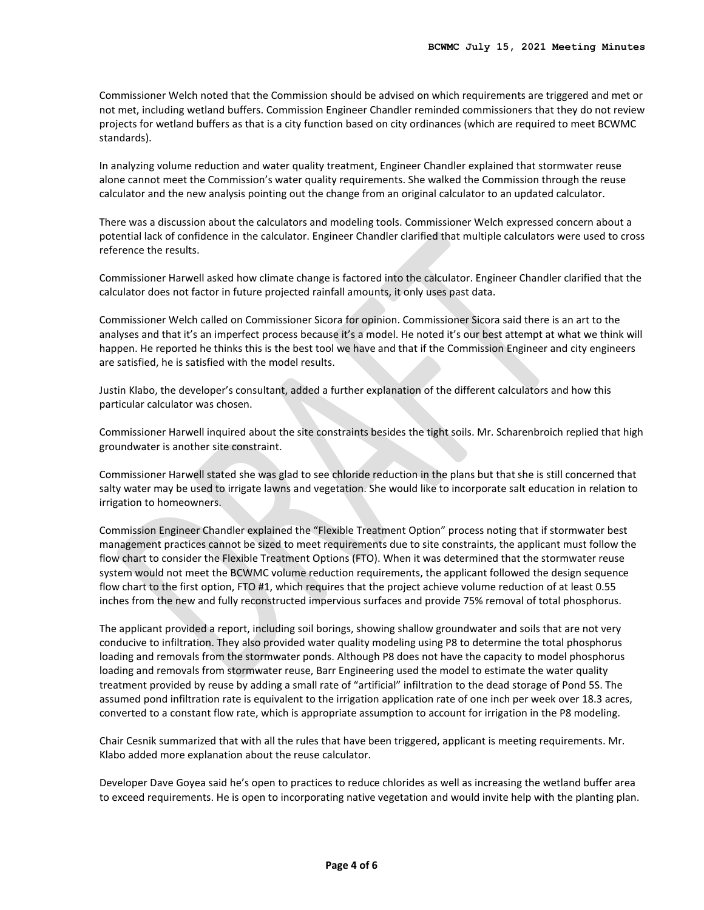Commissioner Welch noted that the Commission should be advised on which requirements are triggered and met or not met, including wetland buffers. Commission Engineer Chandler reminded commissioners that they do not review projects for wetland buffers as that is a city function based on city ordinances (which are required to meet BCWMC standards).

In analyzing volume reduction and water quality treatment, Engineer Chandler explained that stormwater reuse alone cannot meet the Commission's water quality requirements. She walked the Commission through the reuse calculator and the new analysis pointing out the change from an original calculator to an updated calculator.

There was a discussion about the calculators and modeling tools. Commissioner Welch expressed concern about a potential lack of confidence in the calculator. Engineer Chandler clarified that multiple calculators were used to cross reference the results.

Commissioner Harwell asked how climate change is factored into the calculator. Engineer Chandler clarified that the calculator does not factor in future projected rainfall amounts, it only uses past data.

Commissioner Welch called on Commissioner Sicora for opinion. Commissioner Sicora said there is an art to the analyses and that it's an imperfect process because it's a model. He noted it's our best attempt at what we think will happen. He reported he thinks this is the best tool we have and that if the Commission Engineer and city engineers are satisfied, he is satisfied with the model results.

Justin Klabo, the developer's consultant, added a further explanation of the different calculators and how this particular calculator was chosen.

Commissioner Harwell inquired about the site constraints besides the tight soils. Mr. Scharenbroich replied that high groundwater is another site constraint.

Commissioner Harwell stated she was glad to see chloride reduction in the plans but that she is still concerned that salty water may be used to irrigate lawns and vegetation. She would like to incorporate salt education in relation to irrigation to homeowners.

Commission Engineer Chandler explained the "Flexible Treatment Option" process noting that if stormwater best management practices cannot be sized to meet requirements due to site constraints, the applicant must follow the flow chart to consider the Flexible Treatment Options (FTO). When it was determined that the stormwater reuse system would not meet the BCWMC volume reduction requirements, the applicant followed the design sequence flow chart to the first option, FTO #1, which requires that the project achieve volume reduction of at least 0.55 inches from the new and fully reconstructed impervious surfaces and provide 75% removal of total phosphorus.

The applicant provided a report, including soil borings, showing shallow groundwater and soils that are not very conducive to infiltration. They also provided water quality modeling using P8 to determine the total phosphorus loading and removals from the stormwater ponds. Although P8 does not have the capacity to model phosphorus loading and removals from stormwater reuse, Barr Engineering used the model to estimate the water quality treatment provided by reuse by adding a small rate of "artificial" infiltration to the dead storage of Pond 5S. The assumed pond infiltration rate is equivalent to the irrigation application rate of one inch per week over 18.3 acres, converted to a constant flow rate, which is appropriate assumption to account for irrigation in the P8 modeling.

Chair Cesnik summarized that with all the rules that have been triggered, applicant is meeting requirements. Mr. Klabo added more explanation about the reuse calculator.

Developer Dave Goyea said he's open to practices to reduce chlorides as well as increasing the wetland buffer area to exceed requirements. He is open to incorporating native vegetation and would invite help with the planting plan.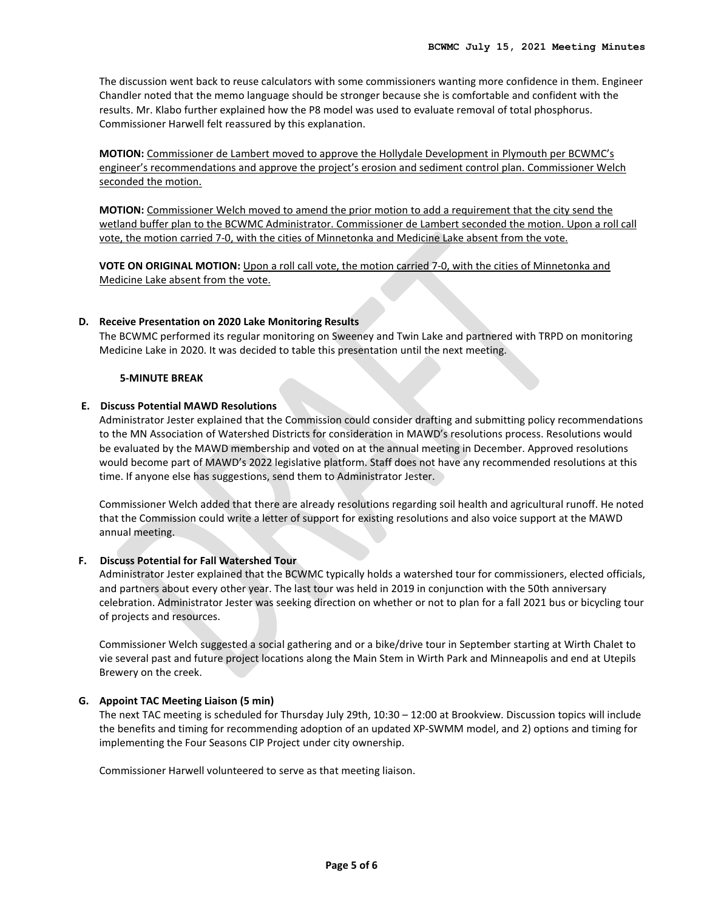The discussion went back to reuse calculators with some commissioners wanting more confidence in them. Engineer Chandler noted that the memo language should be stronger because she is comfortable and confident with the results. Mr. Klabo further explained how the P8 model was used to evaluate removal of total phosphorus. Commissioner Harwell felt reassured by this explanation.

**MOTION:** Commissioner de Lambert moved to approve the Hollydale Development in Plymouth per BCWMC's engineer's recommendations and approve the project's erosion and sediment control plan. Commissioner Welch seconded the motion.

**MOTION:** Commissioner Welch moved to amend the prior motion to add a requirement that the city send the wetland buffer plan to the BCWMC Administrator. Commissioner de Lambert seconded the motion. Upon a roll call vote, the motion carried 7-0, with the cities of Minnetonka and Medicine Lake absent from the vote.

**VOTE ON ORIGINAL MOTION:** Upon a roll call vote, the motion carried 7-0, with the cities of Minnetonka and Medicine Lake absent from the vote.

## **D. Receive Presentation on 2020 Lake Monitoring Results**

The BCWMC performed its regular monitoring on Sweeney and Twin Lake and partnered with TRPD on monitoring Medicine Lake in 2020. It was decided to table this presentation until the next meeting.

#### **5-MINUTE BREAK**

#### **E. Discuss Potential MAWD Resolutions**

Administrator Jester explained that the Commission could consider drafting and submitting policy recommendations to the MN Association of Watershed Districts for consideration in MAWD's resolutions process. Resolutions would be evaluated by the MAWD membership and voted on at the annual meeting in December. Approved resolutions would become part of MAWD's 2022 legislative platform. Staff does not have any recommended resolutions at this time. If anyone else has suggestions, send them to Administrator Jester.

Commissioner Welch added that there are already resolutions regarding soil health and agricultural runoff. He noted that the Commission could write a letter of support for existing resolutions and also voice support at the MAWD annual meeting.

#### **F. Discuss Potential for Fall Watershed Tour**

Administrator Jester explained that the BCWMC typically holds a watershed tour for commissioners, elected officials, and partners about every other year. The last tour was held in 2019 in conjunction with the 50th anniversary celebration. Administrator Jester was seeking direction on whether or not to plan for a fall 2021 bus or bicycling tour of projects and resources.

Commissioner Welch suggested a social gathering and or a bike/drive tour in September starting at Wirth Chalet to vie several past and future project locations along the Main Stem in Wirth Park and Minneapolis and end at Utepils Brewery on the creek.

#### **G. Appoint TAC Meeting Liaison (5 min)**

The next TAC meeting is scheduled for Thursday July 29th, 10:30 – 12:00 at Brookview. Discussion topics will include the benefits and timing for recommending adoption of an updated XP-SWMM model, and 2) options and timing for implementing the Four Seasons CIP Project under city ownership.

Commissioner Harwell volunteered to serve as that meeting liaison.